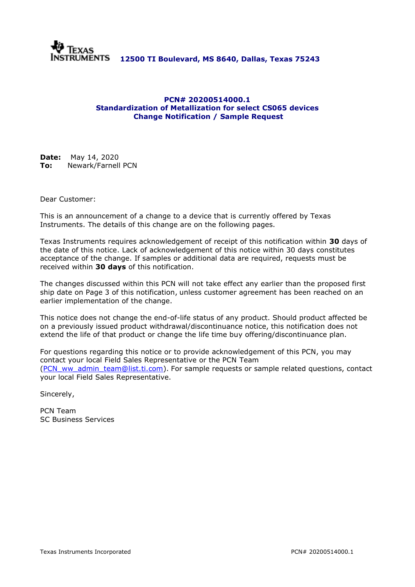

# **PCN# [20200514000.](http://giant.sc.ti.com/pcn/pcnsys.nsf/PCNNumber/20200514000)1 Standardization of Metallization for select CS065 devices Change Notification / Sample Request**

**Date:** May 14, 2020 **To:** Newark/Farnell PCN

Dear Customer:

This is an announcement of a change to a device that is currently offered by Texas Instruments. The details of this change are on the following pages.

Texas Instruments requires acknowledgement of receipt of this notification within **30** days of the date of this notice. Lack of acknowledgement of this notice within 30 days constitutes acceptance of the change. If samples or additional data are required, requests must be received within **30 days** of this notification.

The changes discussed within this PCN will not take effect any earlier than the proposed first ship date on Page 3 of this notification, unless customer agreement has been reached on an earlier implementation of the change.

This notice does not change the end-of-life status of any product. Should product affected be on a previously issued product withdrawal/discontinuance notice, this notification does not extend the life of that product or change the life time buy offering/discontinuance plan.

For questions regarding this notice or to provide acknowledgement of this PCN, you may contact your local Field Sales Representative or the PCN Team [\(PCN\\_ww\\_admin\\_team@list.ti.com\)](mailto:PCN_ww_admin_team@list.ti.com). For sample requests or sample related questions, contact your local Field Sales Representative.

Sincerely,

PCN Team SC Business Services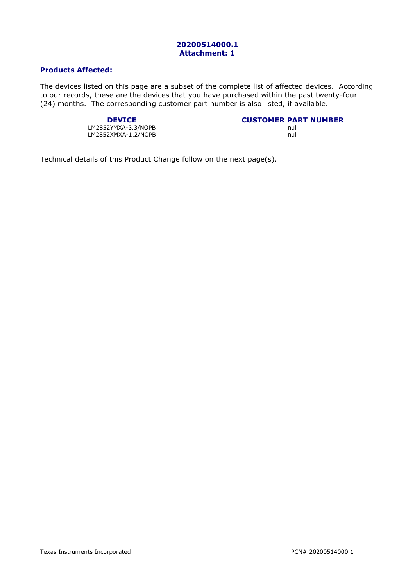# **Products Affected:**

The devices listed on this page are a subset of the complete list of affected devices. According to our records, these are the devices that you have purchased within the past twenty-four (24) months. The corresponding customer part number is also listed, if available.

LM2852YMXA-3.3/NOPB null<br>LM2852XMXA-1.2/NOPB null null null LM2852XMXA-1.2/NOPB

**DEVICE**<br>**CUSTOMER PART NUMBER**<br> **CUSTOMER PART NUMBER** 

Technical details of this Product Change follow on the next page(s).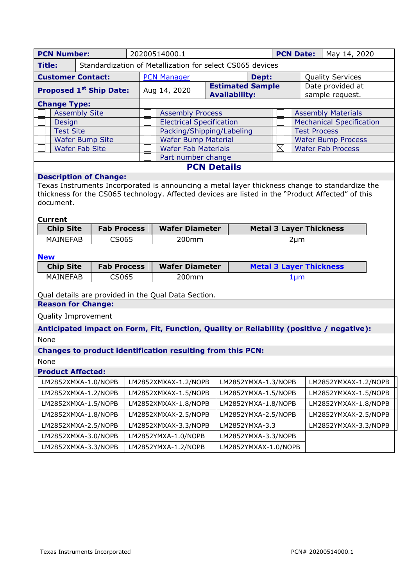| <b>PCN Number:</b><br>20200514000.1<br><b>PCN Date:</b><br>May 14, 2020                                                                                                                                                            |                        |                                             |                                                                                          |  |                                                 |                                  |                     |                                                       |  |
|------------------------------------------------------------------------------------------------------------------------------------------------------------------------------------------------------------------------------------|------------------------|---------------------------------------------|------------------------------------------------------------------------------------------|--|-------------------------------------------------|----------------------------------|---------------------|-------------------------------------------------------|--|
| Standardization of Metallization for select CS065 devices<br><b>Title:</b>                                                                                                                                                         |                        |                                             |                                                                                          |  |                                                 |                                  |                     |                                                       |  |
| <b>Customer Contact:</b>                                                                                                                                                                                                           |                        |                                             | <b>PCN Manager</b>                                                                       |  |                                                 | <b>Quality Services</b><br>Dept: |                     |                                                       |  |
| <b>Proposed 1st Ship Date:</b>                                                                                                                                                                                                     |                        |                                             | Aug 14, 2020                                                                             |  | <b>Estimated Sample</b><br><b>Availability:</b> |                                  |                     | Date provided at<br>sample request.                   |  |
| <b>Change Type:</b>                                                                                                                                                                                                                |                        |                                             |                                                                                          |  |                                                 |                                  |                     |                                                       |  |
| <b>Assembly Site</b>                                                                                                                                                                                                               |                        |                                             | <b>Assembly Process</b>                                                                  |  | <b>Assembly Materials</b>                       |                                  |                     |                                                       |  |
| Design                                                                                                                                                                                                                             |                        |                                             | <b>Electrical Specification</b>                                                          |  | <b>Mechanical Specification</b>                 |                                  |                     |                                                       |  |
| <b>Test Site</b>                                                                                                                                                                                                                   |                        |                                             | Packing/Shipping/Labeling                                                                |  |                                                 |                                  | <b>Test Process</b> |                                                       |  |
| <b>Wafer Fab Site</b>                                                                                                                                                                                                              | <b>Wafer Bump Site</b> |                                             | <b>Wafer Bump Material</b>                                                               |  |                                                 | $\boxtimes$                      |                     | <b>Wafer Bump Process</b><br><b>Wafer Fab Process</b> |  |
|                                                                                                                                                                                                                                    |                        |                                             | <b>Wafer Fab Materials</b><br>Part number change                                         |  |                                                 |                                  |                     |                                                       |  |
|                                                                                                                                                                                                                                    |                        |                                             | <b>PCN Details</b>                                                                       |  |                                                 |                                  |                     |                                                       |  |
| <b>Description of Change:</b>                                                                                                                                                                                                      |                        |                                             |                                                                                          |  |                                                 |                                  |                     |                                                       |  |
| Texas Instruments Incorporated is announcing a metal layer thickness change to standardize the<br>thickness for the CS065 technology. Affected devices are listed in the "Product Affected" of this<br>document.<br><b>Current</b> |                        |                                             |                                                                                          |  |                                                 |                                  |                     |                                                       |  |
| <b>Chip Site</b><br><b>Fab Process</b>                                                                                                                                                                                             |                        |                                             | <b>Wafer Diameter</b>                                                                    |  | <b>Metal 3 Layer Thickness</b>                  |                                  |                     |                                                       |  |
| <b>MAINEFAB</b>                                                                                                                                                                                                                    | CS065                  |                                             | 200mm                                                                                    |  | $2 \mu m$                                       |                                  |                     |                                                       |  |
| <b>New</b><br><b>Wafer Diameter</b>                                                                                                                                                                                                |                        |                                             |                                                                                          |  |                                                 |                                  |                     |                                                       |  |
| <b>Fab Process</b><br><b>Chip Site</b>                                                                                                                                                                                             |                        |                                             |                                                                                          |  | <b>Metal 3 Layer Thickness</b>                  |                                  |                     |                                                       |  |
| <b>MAINEFAB</b><br>CS065                                                                                                                                                                                                           |                        |                                             | 200mm                                                                                    |  | $1 \mu m$                                       |                                  |                     |                                                       |  |
| Qual details are provided in the Qual Data Section.                                                                                                                                                                                |                        |                                             |                                                                                          |  |                                                 |                                  |                     |                                                       |  |
| <b>Reason for Change:</b>                                                                                                                                                                                                          |                        |                                             |                                                                                          |  |                                                 |                                  |                     |                                                       |  |
| Quality Improvement                                                                                                                                                                                                                |                        |                                             |                                                                                          |  |                                                 |                                  |                     |                                                       |  |
|                                                                                                                                                                                                                                    |                        |                                             | Anticipated impact on Form, Fit, Function, Quality or Reliability (positive / negative): |  |                                                 |                                  |                     |                                                       |  |
| None                                                                                                                                                                                                                               |                        |                                             |                                                                                          |  |                                                 |                                  |                     |                                                       |  |
| Changes to product identification resulting from this PCN:                                                                                                                                                                         |                        |                                             |                                                                                          |  |                                                 |                                  |                     |                                                       |  |
| None                                                                                                                                                                                                                               |                        |                                             |                                                                                          |  |                                                 |                                  |                     |                                                       |  |
| <b>Product Affected:</b>                                                                                                                                                                                                           |                        |                                             |                                                                                          |  |                                                 |                                  |                     |                                                       |  |
| LM2852XMXA-1.0/NOPB                                                                                                                                                                                                                |                        |                                             | LM2852XMXAX-1.2/NOPB                                                                     |  | LM2852YMXA-1.3/NOPB                             |                                  |                     | LM2852YMXAX-1.2/NOPB                                  |  |
| LM2852XMXA-1.2/NOPB                                                                                                                                                                                                                |                        |                                             | LM2852XMXAX-1.5/NOPB                                                                     |  | LM2852YMXA-1.5/NOPB                             |                                  |                     | LM2852YMXAX-1.5/NOPB                                  |  |
| LM2852XMXA-1.5/NOPB                                                                                                                                                                                                                |                        |                                             | LM2852XMXAX-1.8/NOPB                                                                     |  | LM2852YMXA-1.8/NOPB                             |                                  |                     | LM2852YMXAX-1.8/NOPB                                  |  |
| LM2852XMXA-1.8/NOPB                                                                                                                                                                                                                |                        |                                             | LM2852XMXAX-2.5/NOPB                                                                     |  | LM2852YMXA-2.5/NOPB                             |                                  |                     | LM2852YMXAX-2.5/NOPB                                  |  |
| LM2852XMXA-2.5/NOPB                                                                                                                                                                                                                |                        |                                             | LM2852XMXAX-3.3/NOPB                                                                     |  | LM2852YMXA-3.3                                  |                                  |                     | LM2852YMXAX-3.3/NOPB                                  |  |
| LM2852XMXA-3.0/NOPB                                                                                                                                                                                                                |                        |                                             | LM2852YMXA-1.0/NOPB                                                                      |  | LM2852YMXA-3.3/NOPB                             |                                  |                     |                                                       |  |
| LM2852XMXA-3.3/NOPB                                                                                                                                                                                                                |                        | LM2852YMXAX-1.0/NOPB<br>LM2852YMXA-1.2/NOPB |                                                                                          |  |                                                 |                                  |                     |                                                       |  |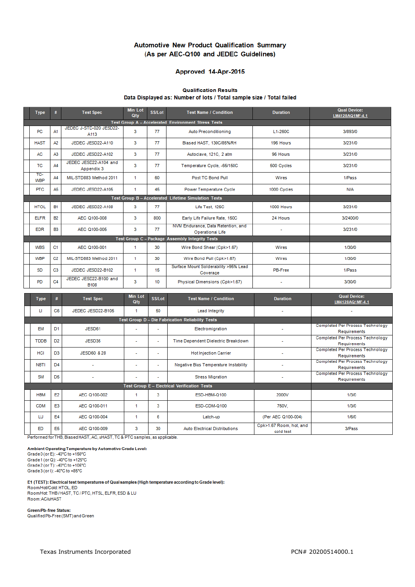### Automotive New Product Qualification Summary (As per AEC-Q100 and JEDEC Guidelines)

# Approved 14-Apr-2015

#### **Qualification Results** Data Displayed as: Number of lots / Total sample size / Total failed

|                                                 | <b>Type</b>                                          | #              | <b>Test Spec</b>                     | <b>Min Lot</b><br>Qty | <b>SS/Lot</b> | <b>Test Name / Condition</b>                                  | <b>Duration</b> | <b>Qual Device:</b><br>LM4128AQ1MF-4.1 |  |
|-------------------------------------------------|------------------------------------------------------|----------------|--------------------------------------|-----------------------|---------------|---------------------------------------------------------------|-----------------|----------------------------------------|--|
|                                                 |                                                      |                |                                      |                       |               |                                                               |                 |                                        |  |
|                                                 | <b>PC</b>                                            | A1             | JEDEC J-STD-020 JESD22-<br>A113      | 3                     | 77            | Auto Preconditioning                                          | L1-260C         | 3/893/0                                |  |
|                                                 | <b>HAST</b>                                          | A <sub>2</sub> | JEDEC JESD22-A110                    | 3                     | 77            | Biased HAST, 130C/85%RH                                       | 196 Hours       | 3/231/0                                |  |
|                                                 | AC                                                   | A3             | JEDEC JESD22-A102                    | 3                     | 77            | Autoclave, 121C, 2 atm                                        | 96 Hours        | 3/231/0                                |  |
|                                                 | <b>TC</b>                                            | AA             | JEDEC JESD22-A104 and<br>Appendix 3  | 3                     | 77            | Temperature Cycle, -65/150C                                   | 500 Cycles      | 3/231/0                                |  |
|                                                 | TC-<br>WBP                                           | AA             | MIL-STD883 Method 2011               | -1                    | 60            | Post TC Bond Pull                                             | <b>Wires</b>    | 1/Pass                                 |  |
|                                                 | <b>PTC</b>                                           | A5             | JEDEC JESD22-A105                    | -1                    | 45            | Power Temperature Cycle                                       | 1000 Cycles     | N/A                                    |  |
|                                                 | Test Group B - Accelerated Lifetime Simulation Tests |                |                                      |                       |               |                                                               |                 |                                        |  |
|                                                 | <b>HTOL</b>                                          | <b>B1</b>      | JEDEC JESD22-A108                    | 3                     | 77            | Life Test, 125C                                               | 1000 Hours      | 3/231/0                                |  |
|                                                 | <b>ELFR</b>                                          | <b>B2</b>      | AEC Q100-008                         | 3                     | 800           | Early Life Failure Rate, 150C                                 | 24 Hours        | 3/2400/0                               |  |
|                                                 | <b>EDR</b>                                           | <b>B3</b>      | AEC Q100-005                         | 3                     | 77            | NVM Endurance, Data Retention, and<br><b>Operational Life</b> |                 | 3/231/0                                |  |
| Test Group C - Package Assembly Integrity Tests |                                                      |                |                                      |                       |               |                                                               |                 |                                        |  |
|                                                 | <b>WBS</b>                                           | C <sub>1</sub> | AEC Q100-001                         | -1                    | 30            | Wire Bond Shear (Cpk>1.67)                                    | Wires           | 1/30/0                                 |  |
|                                                 | <b>WBP</b>                                           | C <sub>2</sub> | MIL-STD883 Method 2011               | -1                    | 30            | Wire Bond Pull (Cpk>1.67)                                     | Wires           | 1/30/0                                 |  |
|                                                 | <b>SD</b>                                            | C <sub>3</sub> | JEDEC JESD22-B102                    | 1                     | 15            | Surface Mount Solderability >95% Lead<br>Coverage             | PB-Free         | 1/Pass                                 |  |
|                                                 | PD                                                   | C <sub>4</sub> | JEDEC JESD22-B100 and<br><b>B108</b> | 3                     | 10            | Physical Dimensions (Cpk>1.67)                                |                 | 3/30/0                                 |  |

|                                                     | <b>Type</b> | #              | <b>Test Spec</b>       | <b>Min Lot</b><br>Qty | SS/Lot | <b>Test Name / Condition</b>                 | <b>Duration</b>                      | <b>Qual Device:</b><br>LM4128AQ1MF-4.1                  |
|-----------------------------------------------------|-------------|----------------|------------------------|-----------------------|--------|----------------------------------------------|--------------------------------------|---------------------------------------------------------|
|                                                     | П           | C <sub>6</sub> | JEDEC JESD22-B105      |                       | 50     | <b>Lead Integrity</b>                        | ٠                                    | ٠                                                       |
|                                                     |             |                |                        |                       |        |                                              |                                      |                                                         |
|                                                     | <b>EM</b>   | D <sub>1</sub> | JESD61                 |                       | ٠      | Electromigration                             |                                      | Completed Per Process Technology<br>Requirements        |
|                                                     | <b>TDDB</b> | D <sub>2</sub> | JESD35                 | ۰                     | ٠      | Time Dependent Dielectric Breakdown          | ۰                                    | Completed Per Process Technology<br>Requirements        |
|                                                     | <b>HCI</b>  | D <sub>3</sub> | <b>JESD60 &amp; 28</b> |                       | ٠      | <b>Hot Injection Carrier</b>                 |                                      | <b>Completed Per Process Technology</b><br>Requirements |
|                                                     | <b>NBTI</b> | D <sub>4</sub> |                        | ٠                     | ٠      | <b>Negative Bias Temperature Instability</b> |                                      | <b>Completed Per Process Technology</b><br>Requirements |
|                                                     | <b>SM</b>   | D <sub>5</sub> |                        | ۰                     | ٠      | <b>Stress Migration</b>                      | ٠                                    | Completed Per Process Technology<br>Requirements        |
| <b>Test Group E - Electrical Verification Tests</b> |             |                |                        |                       |        |                                              |                                      |                                                         |
|                                                     | <b>HBM</b>  | E2             | AEC Q100-002           | 4                     | 3      | ESD-HBM-Q100                                 | 2000V                                | 1/3/0                                                   |
|                                                     | <b>CDM</b>  | E <sub>3</sub> | AEC Q100-011           | 1                     | 3      | ESD-CDM-Q100                                 | 750V.                                | 1/3/0                                                   |
|                                                     | LU          | E <sub>4</sub> | AEC Q100-004           | 1                     | 6      | Latch-up                                     | (Per AEC Q100-004)                   | 1/6/0                                                   |
|                                                     | ED          | E <sub>5</sub> | AEC Q100-009           | 3                     | 30     | <b>Auto Electrical Distributions</b>         | Cpk>1.67 Room, hot, and<br>cold test | 3/Pass                                                  |

Performed for THB, Biased HAST, AC, uHAST, TC & PTC samples, as applicable.

Ambient Operating Temperature by Automotive Grade Level: Grade 0 (or E): -40°C to +150°C Grade 1 (or Q): -40°C to +125°C<br>Grade 2 (or T): -40°C to +105°C

Grade 3 (or I): -40°C to +85°C

E1 (TEST): Electrical test temperatures of Qual samples (High temperature according to Grade level):

Room/Hot/Cold: HTOL, ED Room/Hot: THB/HAST, TC/PTC, HTSL, ELFR, ESD & LU Room: AC/uHAST

Green/Pb-free Status:<br>QualifiedPb-Free (SMT) and Green

Texas Instruments Incorporated